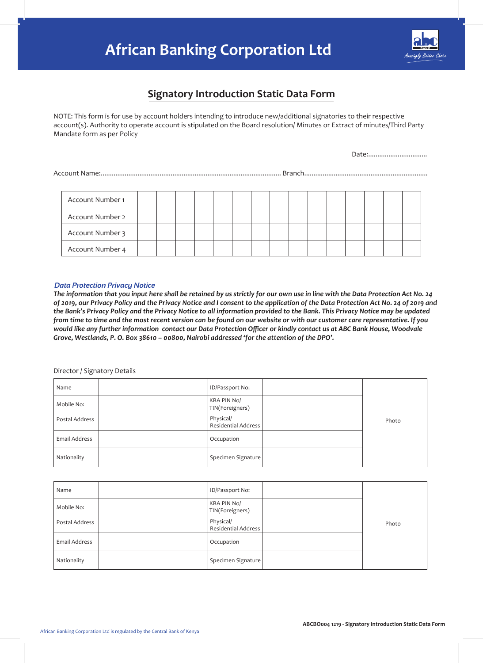# **African Banking Corporation Ltd**



# **Signatory Introduction Static Data Form**

NOTE: This form is for use by account holders intending to introduce new/additional signatories to their respective account(s). Authority to operate account is stipulated on the Board resolution/ Minutes or Extract of minutes/Third Party Mandate form as per Policy

Date:................................

Account Name:.................................................................................................. Branch...................................................................

| Account Number 1 |  |  |  |  |  |  |  |  |
|------------------|--|--|--|--|--|--|--|--|
| Account Number 2 |  |  |  |  |  |  |  |  |
| Account Number 3 |  |  |  |  |  |  |  |  |
| Account Number 4 |  |  |  |  |  |  |  |  |

#### *Data Protection Privacy Notice*

*The information that you input here shall be retained by us strictly for our own use in line with the Data Protection Act No. 24 of 2019, our Privacy Policy and the Privacy Notice and I consent to the application of the Data Protection Act No. 24 of 2019 and the Bank's Privacy Policy and the Privacy Notice to all information provided to the Bank. This Privacy Notice may be updated from time to time and the most recent version can be found on our website or with our customer care representative. If you would like any further information contact our Data Protection Officer or kindly contact us at ABC Bank House, Woodvale Grove, Westlands, P. O. Box 38610 – 00800, Nairobi addressed 'for the attention of the DPO'.*

Director / Signatory Details

| Name           | ID/Passport No:                  |       |
|----------------|----------------------------------|-------|
| Mobile No:     | KRA PIN No/<br>TIN(Foreigners)   |       |
| Postal Address | Physical/<br>Residential Address | Photo |
| Email Address  | Occupation                       |       |
| Nationality    | Specimen Signature               |       |

| Name           | ID/Passport No:                         |       |
|----------------|-----------------------------------------|-------|
| Mobile No:     | KRA PIN No/<br>TIN(Foreigners)          |       |
| Postal Address | Physical/<br><b>Residential Address</b> | Photo |
| Email Address  | Occupation                              |       |
| Nationality    | Specimen Signature                      |       |